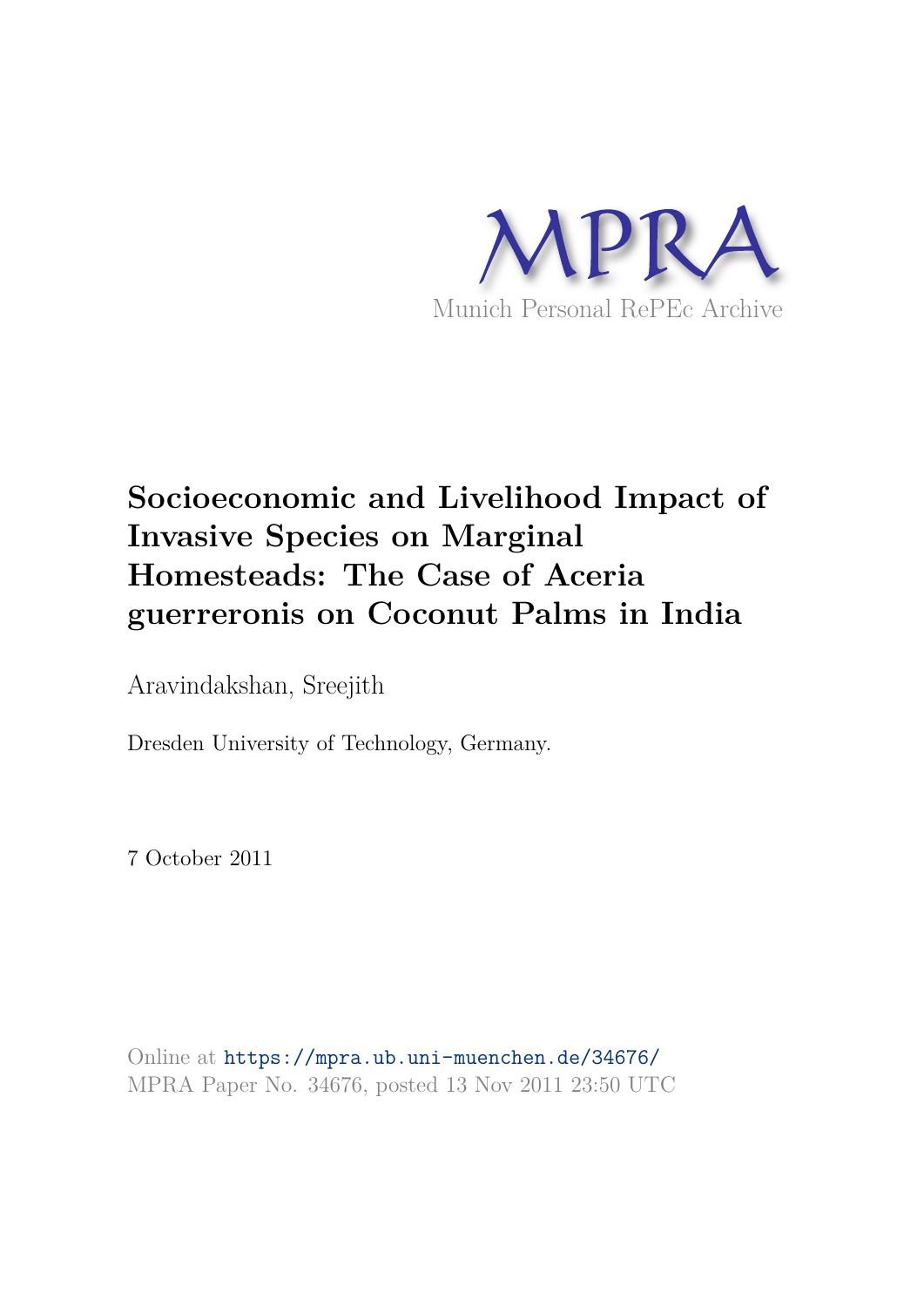

# **Socioeconomic and Livelihood Impact of Invasive Species on Marginal Homesteads: The Case of Aceria guerreronis on Coconut Palms in India**

Aravindakshan, Sreejith

Dresden University of Technology, Germany.

7 October 2011

Online at https://mpra.ub.uni-muenchen.de/34676/ MPRA Paper No. 34676, posted 13 Nov 2011 23:50 UTC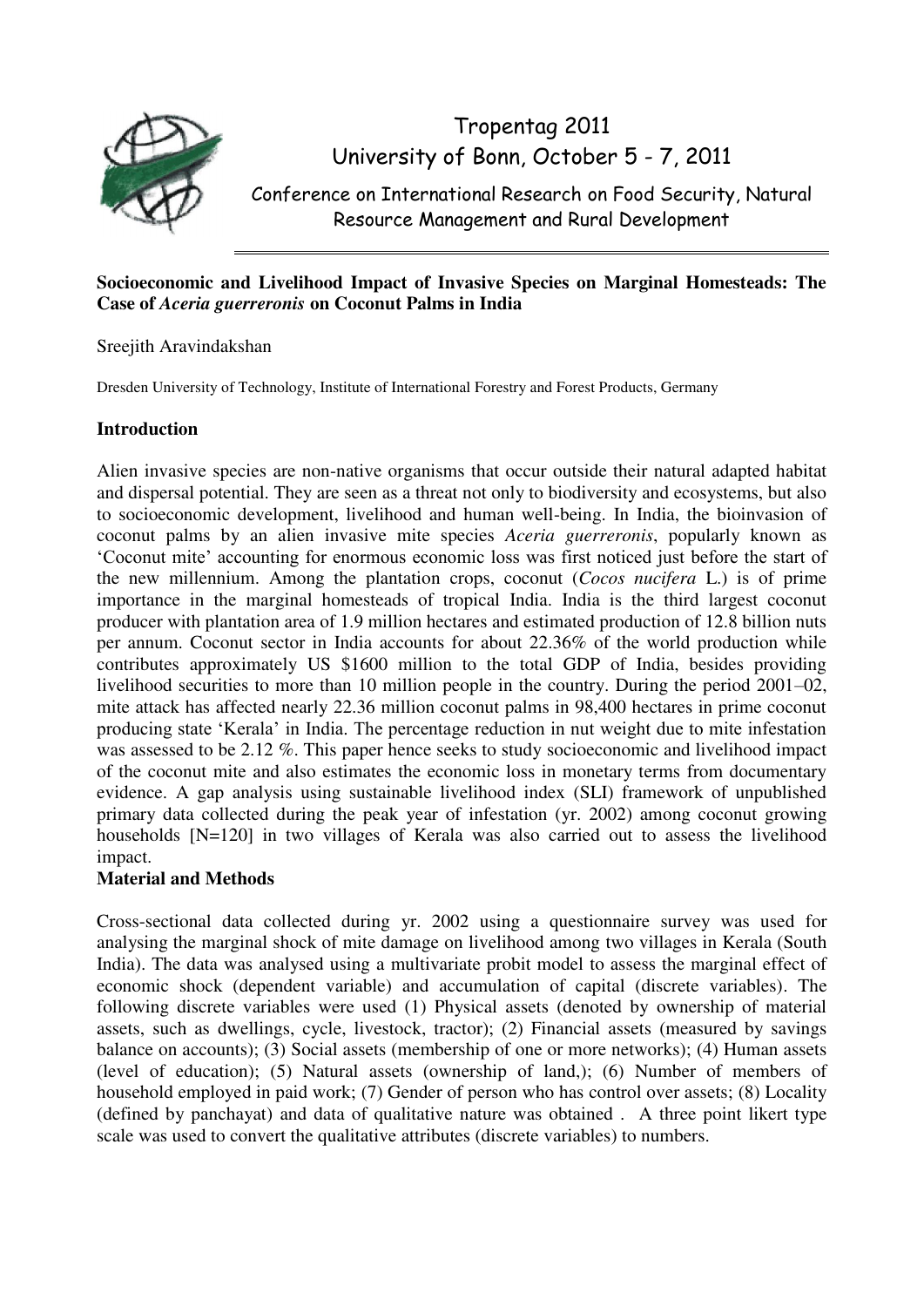

Tropentag 2011 University of Bonn, October 5 - 7, 2011

Conference on International Research on Food Security, Natural Resource Management and Rural Development

# **Socioeconomic and Livelihood Impact of Invasive Species on Marginal Homesteads: The Case of** *Aceria guerreronis* **on Coconut Palms in India**

Sreejith Aravindakshan

Dresden University of Technology, Institute of International Forestry and Forest Products, Germany

# **Introduction**

Alien invasive species are non-native organisms that occur outside their natural adapted habitat and dispersal potential. They are seen as a threat not only to biodiversity and ecosystems, but also to socioeconomic development, livelihood and human well-being. In India, the bioinvasion of coconut palms by an alien invasive mite species *Aceria guerreronis*, popularly known as 'Coconut mite' accounting for enormous economic loss was first noticed just before the start of the new millennium. Among the plantation crops, coconut (*Cocos nucifera* L.) is of prime importance in the marginal homesteads of tropical India. India is the third largest coconut producer with plantation area of 1.9 million hectares and estimated production of 12.8 billion nuts per annum. Coconut sector in India accounts for about 22.36% of the world production while contributes approximately US \$1600 million to the total GDP of India, besides providing livelihood securities to more than 10 million people in the country. During the period 2001–02, mite attack has affected nearly 22.36 million coconut palms in 98,400 hectares in prime coconut producing state 'Kerala' in India. The percentage reduction in nut weight due to mite infestation was assessed to be 2.12 %. This paper hence seeks to study socioeconomic and livelihood impact of the coconut mite and also estimates the economic loss in monetary terms from documentary evidence. A gap analysis using sustainable livelihood index (SLI) framework of unpublished primary data collected during the peak year of infestation (yr. 2002) among coconut growing households [N=120] in two villages of Kerala was also carried out to assess the livelihood impact.

# **Material and Methods**

Cross-sectional data collected during yr. 2002 using a questionnaire survey was used for analysing the marginal shock of mite damage on livelihood among two villages in Kerala (South India). The data was analysed using a multivariate probit model to assess the marginal effect of economic shock (dependent variable) and accumulation of capital (discrete variables). The following discrete variables were used (1) Physical assets (denoted by ownership of material assets, such as dwellings, cycle, livestock, tractor); (2) Financial assets (measured by savings balance on accounts); (3) Social assets (membership of one or more networks); (4) Human assets (level of education); (5) Natural assets (ownership of land,); (6) Number of members of household employed in paid work; (7) Gender of person who has control over assets; (8) Locality (defined by panchayat) and data of qualitative nature was obtained . A three point likert type scale was used to convert the qualitative attributes (discrete variables) to numbers.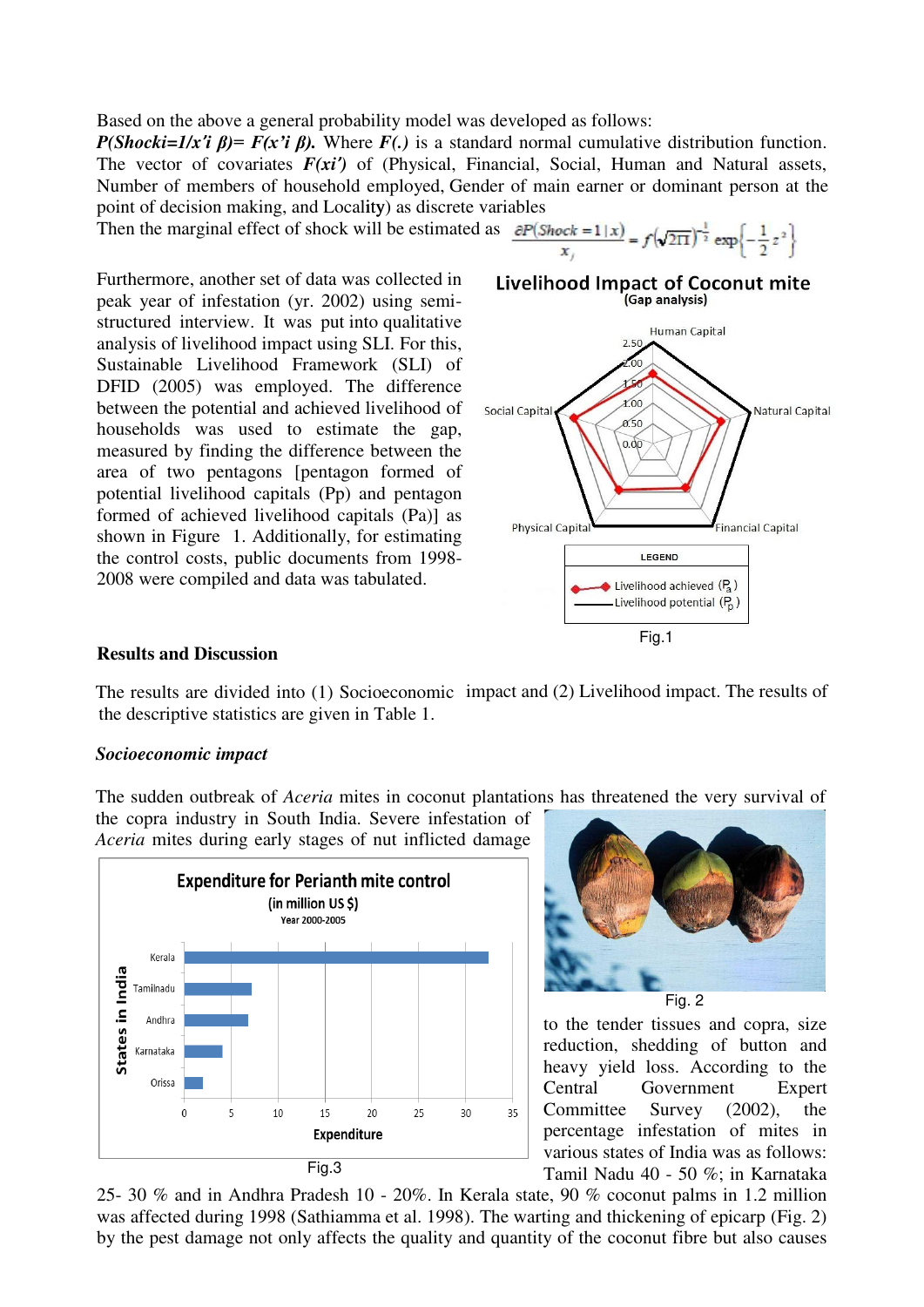Based on the above a general probability model was developed as follows:

*P(Shocki=1/x'i β)= F(x'i β).* Where *F(.)* is a standard normal cumulative distribution function. The vector of covariates *F(xi')* of (Physical, Financial, Social, Human and Natural assets, Number of members of household employed, Gender of main earner or dominant person at the point of decision making, and Locality) as discrete variables

Then the marginal effect of shock will be estimated as  $\frac{\partial P(\text{Shock} = 1 | x)}{x} = f(\sqrt{2\pi})^{-\frac{1}{2}} \exp\left\{-\frac{1}{2}z^2\right\}$ 

Furthermore, another set of data was collected in peak year of infestation (yr. 2002) using semistructured interview. It was put into qualitative analysis of livelihood impact using SLI. For this, Sustainable Livelihood Framework (SLI) of DFID (2005) was employed. The difference between the potential and achieved livelihood of households was used to estimate the gap, measured by finding the difference between the area of two pentagons [pentagon formed of potential livelihood capitals (Pp) and pentagon formed of achieved livelihood capitals (Pa)] as shown in Figure 1. Additionally, for estimating the control costs, public documents from 1998- 2008 were compiled and data was tabulated.



#### **Results and Discussion**

The results are divided into (1) Socioeconomic impact and (2) Livelihood impact. The results of the descriptive statistics are given in Table 1.

## *Socioeconomic impact*

The sudden outbreak of *Aceria* mites in coconut plantations has threatened the very survival of

the copra industry in South India. Severe infestation of *Aceria* mites during early stages of nut inflicted damage





to the tender tissues and copra, size reduction, shedding of button and heavy yield loss. According to the Central Government Expert Committee Survey (2002), the percentage infestation of mites in various states of India was as follows: Tamil Nadu 40 - 50 %; in Karnataka

25- 30 % and in Andhra Pradesh 10 - 20%. In Kerala state, 90 % coconut palms in 1.2 million was affected during 1998 (Sathiamma et al. 1998). The warting and thickening of epicarp (Fig. 2) by the pest damage not only affects the quality and quantity of the coconut fibre but also causes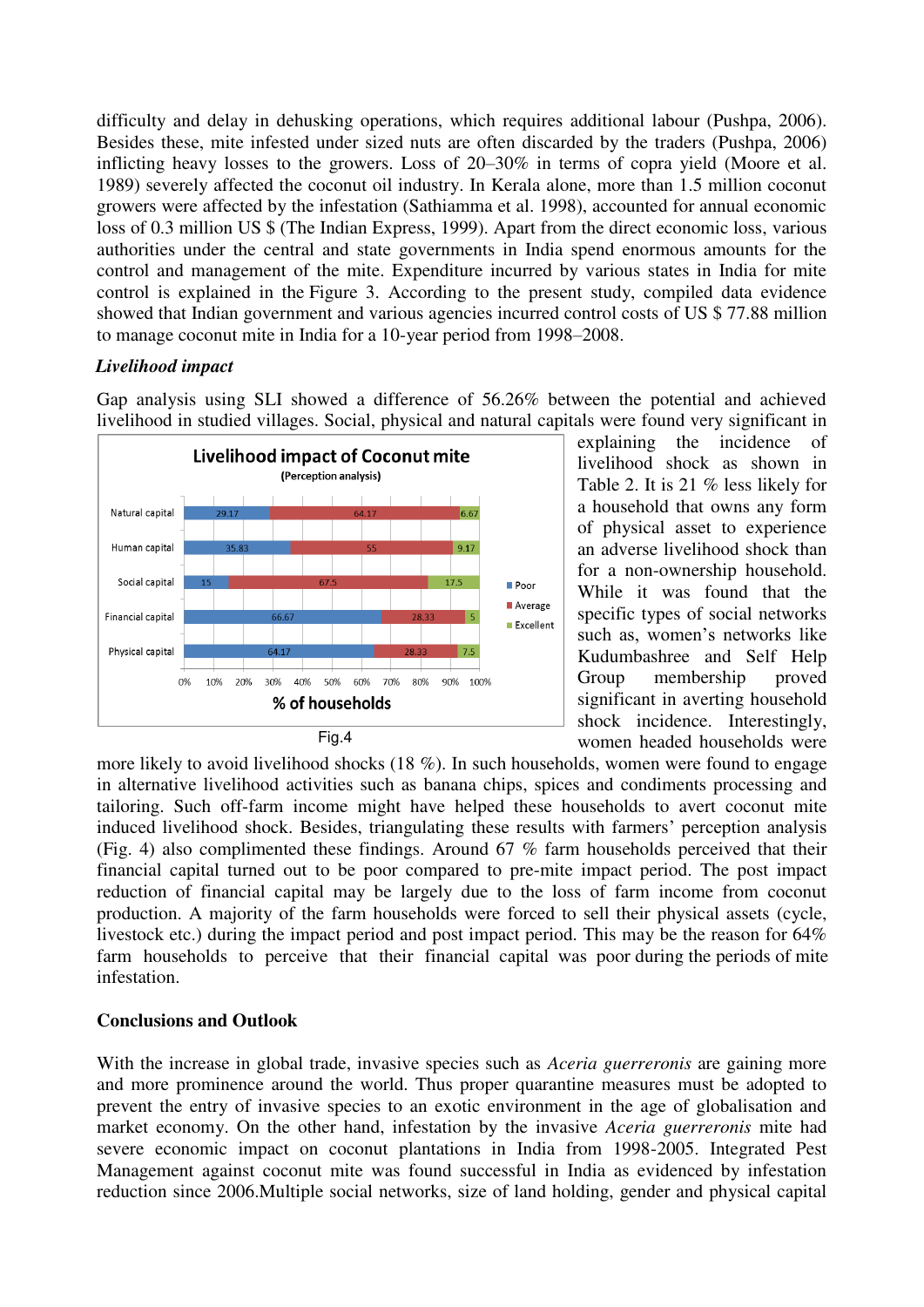difficulty and delay in dehusking operations, which requires additional labour (Pushpa, 2006). Besides these, mite infested under sized nuts are often discarded by the traders (Pushpa, 2006) inflicting heavy losses to the growers. Loss of 20–30% in terms of copra yield (Moore et al. 1989) severely affected the coconut oil industry. In Kerala alone, more than 1.5 million coconut growers were affected by the infestation (Sathiamma et al. 1998), accounted for annual economic loss of 0.3 million US \$ (The Indian Express, 1999). Apart from the direct economic loss, various authorities under the central and state governments in India spend enormous amounts for the control and management of the mite. Expenditure incurred by various states in India for mite control is explained in the Figure 3. According to the present study, compiled data evidence showed that Indian government and various agencies incurred control costs of US \$ 77.88 million to manage coconut mite in India for a 10-year period from 1998–2008.

# *Livelihood impact*

Gap analysis using SLI showed a difference of 56.26% between the potential and achieved livelihood in studied villages. Social, physical and natural capitals were found very significant in



explaining the incidence of livelihood shock as shown in Table 2. It is 21 % less likely for a household that owns any form of physical asset to experience an adverse livelihood shock than for a non-ownership household. While it was found that the specific types of social networks such as, women's networks like Kudumbashree and Self Help Group membership proved significant in averting household shock incidence. Interestingly, women headed households were

more likely to avoid livelihood shocks (18 %). In such households, women were found to engage in alternative livelihood activities such as banana chips, spices and condiments processing and tailoring. Such off-farm income might have helped these households to avert coconut mite induced livelihood shock. Besides, triangulating these results with farmers' perception analysis (Fig. 4) also complimented these findings. Around 67 % farm households perceived that their financial capital turned out to be poor compared to pre-mite impact period. The post impact reduction of financial capital may be largely due to the loss of farm income from coconut production. A majority of the farm households were forced to sell their physical assets (cycle, livestock etc.) during the impact period and post impact period. This may be the reason for 64% farm households to perceive that their financial capital was poor during the periods of mite infestation.

## **Conclusions and Outlook**

With the increase in global trade, invasive species such as *Aceria guerreronis* are gaining more and more prominence around the world. Thus proper quarantine measures must be adopted to prevent the entry of invasive species to an exotic environment in the age of globalisation and market economy. On the other hand, infestation by the invasive *Aceria guerreronis* mite had severe economic impact on coconut plantations in India from 1998-2005. Integrated Pest Management against coconut mite was found successful in India as evidenced by infestation reduction since 2006.Multiple social networks, size of land holding, gender and physical capital